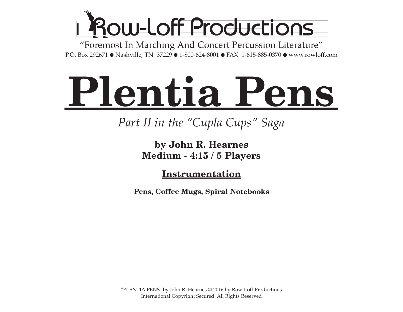

"Foremost In Marching And Concert Percussion Literature" P.O. Box 292671 ● Nashville, TN 37229 ● 1-800-624-8001 ● FAX 1-615-885-0370 ● www.rowloff.com

# **Plentia Pens**

### *Part II in the "Cupla Cups" Saga*

### **by John R. Hearnes Medium - 4:15 / 5 Players**

**Instrumentation**

**Pens, Coffee Mugs, Spiral Notebooks**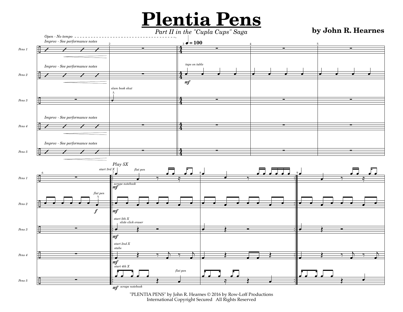## **Plentia Pens**

### *Part II in the "Cupla Cups" Saga* **by John R. Hearnes**



"PLENTIA PENS" by John R. Hearnes © 2016 by Row-Loff Productions International Copyright Secured All Rights Reserved